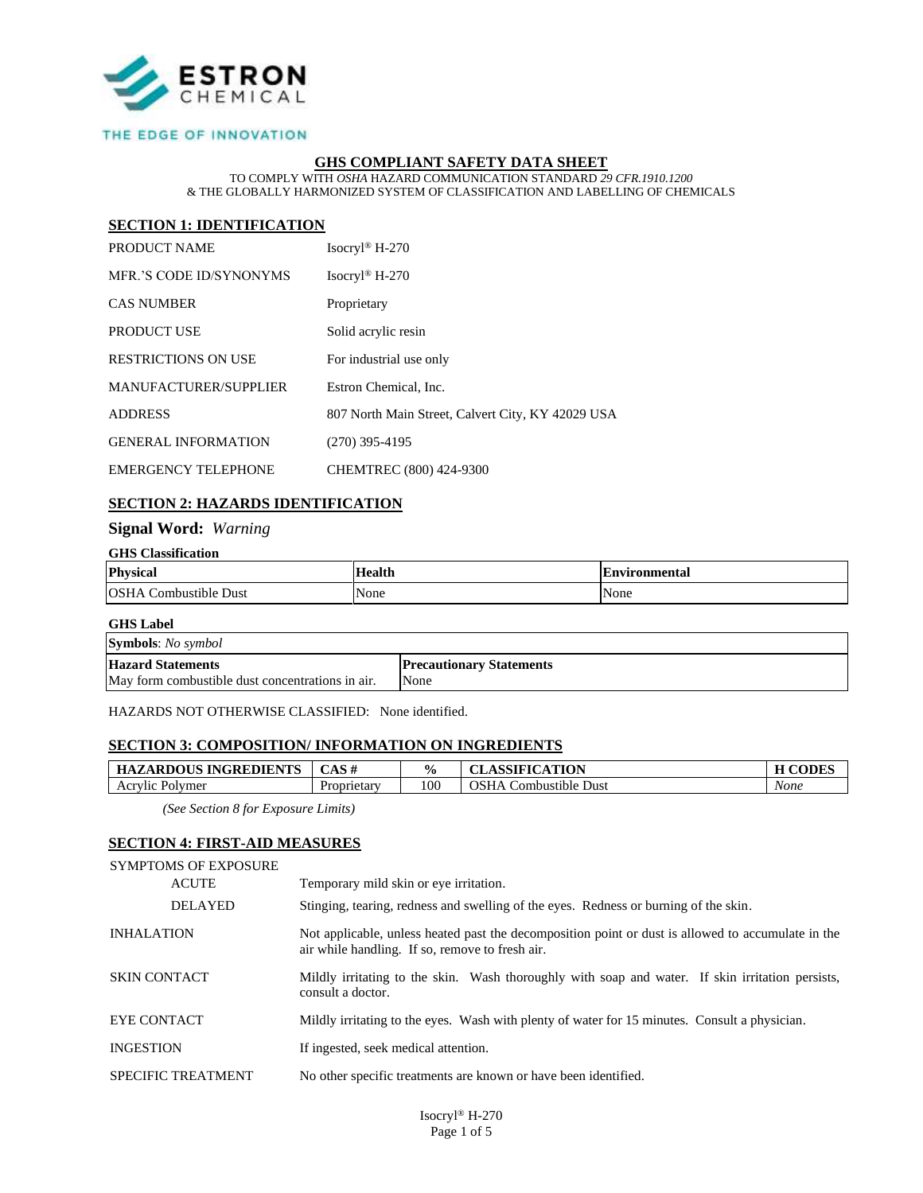

#### THE EDGE OF INNOVATION

### **GHS COMPLIANT SAFETY DATA SHEET**

TO COMPLY WITH *OSHA* HAZARD COMMUNICATION STANDARD *29 CFR.1910.1200* & THE GLOBALLY HARMONIZED SYSTEM OF CLASSIFICATION AND LABELLING OF CHEMICALS

### **SECTION 1: IDENTIFICATION**

| PRODUCT NAME               | Isocryl <sup>®</sup> H-270                        |
|----------------------------|---------------------------------------------------|
| MER.'S CODE ID/SYNONYMS    | Isocryl <sup>®</sup> H-270                        |
| <b>CAS NUMBER</b>          | Proprietary                                       |
| <b>PRODUCT USE</b>         | Solid acrylic resin                               |
| <b>RESTRICTIONS ON USE</b> | For industrial use only                           |
| MANUFACTURER/SUPPLIER      | Estron Chemical, Inc.                             |
| <b>ADDRESS</b>             | 807 North Main Street, Calvert City, KY 42029 USA |
| <b>GENERAL INFORMATION</b> | $(270)$ 395-4195                                  |
| <b>EMERGENCY TELEPHONE</b> | CHEMTREC (800) 424-9300                           |

### **SECTION 2: HAZARDS IDENTIFICATION**

### **Signal Word:** *Warning*

#### **GHS Classification**

| <b>Physical</b>                   | Health | Environmental |
|-----------------------------------|--------|---------------|
| <b>OSHA</b><br>. Combustible Dust | None   | None          |

#### **GHS Label**

| <b>Symbols:</b> No symbol                        |                                 |
|--------------------------------------------------|---------------------------------|
| <b>Hazard Statements</b>                         | <b>Precautionary Statements</b> |
| May form combustible dust concentrations in air. | None                            |

HAZARDS NOT OTHERWISE CLASSIFIED: None identified.

# **SECTION 3: COMPOSITION/ INFORMATION ON INGREDIENTS**

| ZARDOUS INGREDIENTS<br>HA<br>טי | $C$ A C $H$<br>- 77 | $\frac{0}{0}$ | <b>ASSIFICATION</b><br>$\sim$                   | $\alpha$ $\alpha$ $\beta$ |
|---------------------------------|---------------------|---------------|-------------------------------------------------|---------------------------|
| Acrvlic<br>Polymer              | Proprietary         | 100           | $\lambda$ CT<br>:ombustible<br>Dust<br>HА<br>בכ | None                      |

*(See Section 8 for Exposure Limits)*

#### **SECTION 4: FIRST-AID MEASURES**

| <b>SYMPTOMS OF EXPOSURE</b><br><b>ACUTE</b> | Temporary mild skin or eye irritation.                                                                                                                |
|---------------------------------------------|-------------------------------------------------------------------------------------------------------------------------------------------------------|
| <b>DELAYED</b>                              | Stinging, tearing, redness and swelling of the eyes. Redness or burning of the skin.                                                                  |
| <b>INHALATION</b>                           | Not applicable, unless heated past the decomposition point or dust is allowed to accumulate in the<br>air while handling. If so, remove to fresh air. |
| <b>SKIN CONTACT</b>                         | Mildly irritating to the skin. Wash thoroughly with soap and water. If skin irritation persists,<br>consult a doctor.                                 |
| EYE CONTACT                                 | Mildly irritating to the eyes. Wash with plenty of water for 15 minutes. Consult a physician.                                                         |
| <b>INGESTION</b>                            | If ingested, seek medical attention.                                                                                                                  |
| <b>SPECIFIC TREATMENT</b>                   | No other specific treatments are known or have been identified.                                                                                       |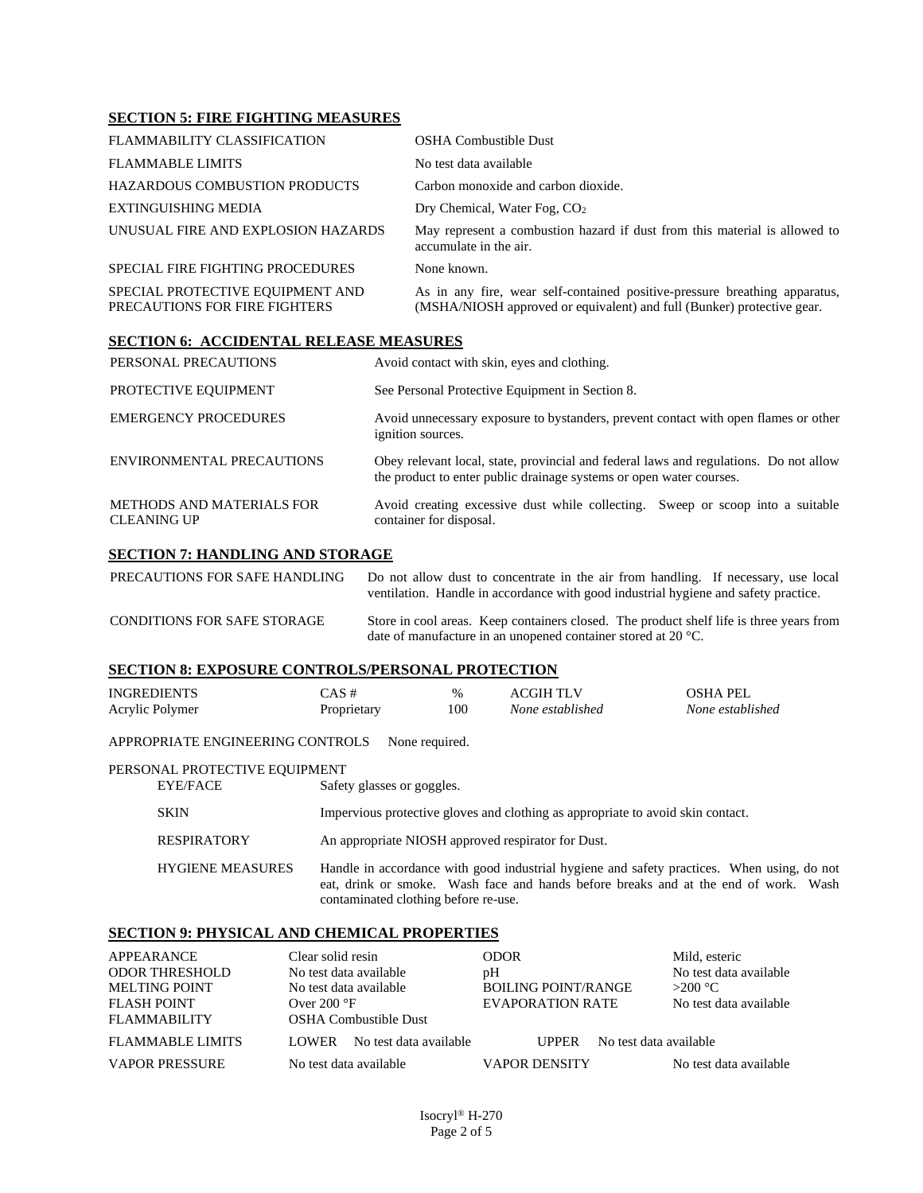# **SECTION 5: FIRE FIGHTING MEASURES**

| <b>FLAMMABILITY CLASSIFICATION</b>                                | <b>OSHA Combustible Dust</b>                                                                                                                         |
|-------------------------------------------------------------------|------------------------------------------------------------------------------------------------------------------------------------------------------|
| <b>FLAMMABLE LIMITS</b>                                           | No test data available                                                                                                                               |
| <b>HAZARDOUS COMBUSTION PRODUCTS</b>                              | Carbon monoxide and carbon dioxide.                                                                                                                  |
| EXTINGUISHING MEDIA                                               | Dry Chemical, Water Fog, CO <sub>2</sub>                                                                                                             |
| UNUSUAL FIRE AND EXPLOSION HAZARDS                                | May represent a combustion hazard if dust from this material is allowed to<br>accumulate in the air.                                                 |
| SPECIAL FIRE FIGHTING PROCEDURES                                  | None known.                                                                                                                                          |
| SPECIAL PROTECTIVE EQUIPMENT AND<br>PRECAUTIONS FOR FIRE FIGHTERS | As in any fire, wear self-contained positive-pressure breathing apparatus,<br>(MSHA/NIOSH approved or equivalent) and full (Bunker) protective gear. |

# **SECTION 6: ACCIDENTAL RELEASE MEASURES**

| PERSONAL PRECAUTIONS                            | Avoid contact with skin, eyes and clothing.                                                                                                                  |  |
|-------------------------------------------------|--------------------------------------------------------------------------------------------------------------------------------------------------------------|--|
| PROTECTIVE EQUIPMENT                            | See Personal Protective Equipment in Section 8.                                                                                                              |  |
| <b>EMERGENCY PROCEDURES</b>                     | Avoid unnecessary exposure to bystanders, prevent contact with open flames or other<br>ignition sources.                                                     |  |
| ENVIRONMENTAL PRECAUTIONS                       | Obey relevant local, state, provincial and federal laws and regulations. Do not allow<br>the product to enter public drainage systems or open water courses. |  |
| METHODS AND MATERIALS FOR<br><b>CLEANING UP</b> | Avoid creating excessive dust while collecting. Sweep or scoop into a suitable<br>container for disposal.                                                    |  |
| <b>SECTION 7: HANDLING AND STORAGE</b>          |                                                                                                                                                              |  |

PRECAUTIONS FOR SAFE HANDLING Do not allow dust to concentrate in the air from handling. If necessary, use local ventilation. Handle in accordance with good industrial hygiene and safety practice.

| <b>CONDITIONS FOR SAFE STORAGE</b> |                                                                         | Store in cool areas. Keep containers closed. The product shelf life is three years from |
|------------------------------------|-------------------------------------------------------------------------|-----------------------------------------------------------------------------------------|
|                                    | date of manufacture in an unopened container stored at 20 $^{\circ}$ C. |                                                                                         |

# **SECTION 8: EXPOSURE CONTROLS/PERSONAL PROTECTION**

| INGREDIENTS     | $CAS \#$    | $\%$ | ACGIH TLV        | OSHA PEL         |
|-----------------|-------------|------|------------------|------------------|
| Acrylic Polymer | Proprietary | 100  | None established | None established |
|                 |             |      |                  |                  |

APPROPRIATE ENGINEERING CONTROLS None required.

#### PERSONAL PROTECTIVE EQUIPMENT

EYE/FACE Safety glasses or goggles. SKIN Impervious protective gloves and clothing as appropriate to avoid skin contact. RESPIRATORY An appropriate NIOSH approved respirator for Dust. HYGIENE MEASURES Handle in accordance with good industrial hygiene and safety practices. When using, do not eat, drink or smoke. Wash face and hands before breaks and at the end of work. Wash contaminated clothing before re-use.

#### **SECTION 9: PHYSICAL AND CHEMICAL PROPERTIES**

| APPEARANCE              | Clear solid resin      |                        | ODOR.                      |                        | Mild, esteric          |
|-------------------------|------------------------|------------------------|----------------------------|------------------------|------------------------|
| <b>ODOR THRESHOLD</b>   | No test data available |                        | pH                         |                        | No test data available |
| <b>MELTING POINT</b>    | No test data available |                        | <b>BOILING POINT/RANGE</b> |                        | $>200$ °C.             |
| <b>FLASH POINT</b>      | Over $200^{\circ}$ F   |                        | EVAPORATION RATE           |                        | No test data available |
| <b>FLAMMABILITY</b>     |                        | OSHA Combustible Dust  |                            |                        |                        |
| <b>FLAMMABLE LIMITS</b> | <b>LOWER</b>           | No test data available | <b>UPPER</b>               | No test data available |                        |
| <b>VAPOR PRESSURE</b>   | No test data available |                        | <b>VAPOR DENSITY</b>       |                        | No test data available |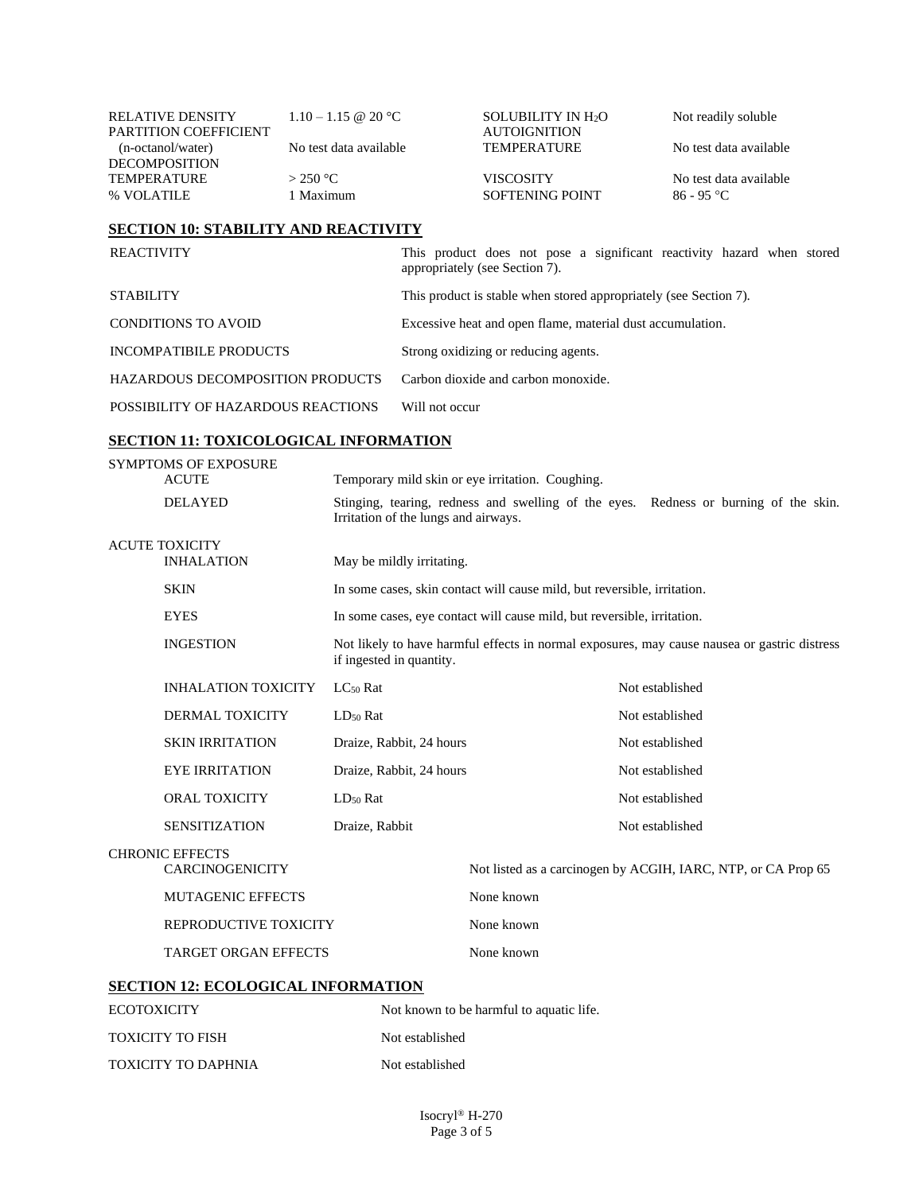| <b>RELATIVE DENSITY</b> | $1.10 - 1.15 \& 20 \degree C$ | SOLUBILITY IN H <sub>2</sub> O | Not readily soluble    |
|-------------------------|-------------------------------|--------------------------------|------------------------|
| PARTITION COEFFICIENT   |                               | <b>AUTOIGNITION</b>            |                        |
| (n-octanol/water)       | No test data available        | <b>TEMPERATURE</b>             | No test data available |
| <b>DECOMPOSITION</b>    |                               |                                |                        |
| <b>TEMPERATURE</b>      | $>$ 250 °C                    | <b>VISCOSITY</b>               | No test data available |
| % VOLATILE              | 1 Maximum                     | SOFTENING POINT                | 86 - 95 °C             |

# **SECTION 10: STABILITY AND REACTIVITY**

| <b>REACTIVITY</b>                       | This product does not pose a significant reactivity hazard when stored<br>appropriately (see Section 7). |
|-----------------------------------------|----------------------------------------------------------------------------------------------------------|
| <b>STABILITY</b>                        | This product is stable when stored appropriately (see Section 7).                                        |
| <b>CONDITIONS TO AVOID</b>              | Excessive heat and open flame, material dust accumulation.                                               |
| INCOMPATIBILE PRODUCTS                  | Strong oxidizing or reducing agents.                                                                     |
| <b>HAZARDOUS DECOMPOSITION PRODUCTS</b> | Carbon dioxide and carbon monoxide.                                                                      |
| POSSIBILITY OF HAZARDOUS REACTIONS      | Will not occur                                                                                           |

# **SECTION 11: TOXICOLOGICAL INFORMATION**

TOXICITY TO DAPHNIA Not established

| <b>SYMPTOMS OF EXPOSURE</b><br><b>ACUTE</b>      |                                                                                  |                                      | Temporary mild skin or eye irritation. Coughing.                                             |                                                               |  |  |  |  |
|--------------------------------------------------|----------------------------------------------------------------------------------|--------------------------------------|----------------------------------------------------------------------------------------------|---------------------------------------------------------------|--|--|--|--|
|                                                  | <b>DELAYED</b>                                                                   | Irritation of the lungs and airways. | Stinging, tearing, redness and swelling of the eyes. Redness or burning of the skin.         |                                                               |  |  |  |  |
| <b>ACUTE TOXICITY</b><br><b>INHALATION</b>       |                                                                                  | May be mildly irritating.            |                                                                                              |                                                               |  |  |  |  |
|                                                  | <b>SKIN</b>                                                                      |                                      | In some cases, skin contact will cause mild, but reversible, irritation.                     |                                                               |  |  |  |  |
|                                                  | <b>EYES</b>                                                                      |                                      | In some cases, eye contact will cause mild, but reversible, irritation.                      |                                                               |  |  |  |  |
|                                                  | <b>INGESTION</b>                                                                 | if ingested in quantity.             | Not likely to have harmful effects in normal exposures, may cause nausea or gastric distress |                                                               |  |  |  |  |
|                                                  | <b>INHALATION TOXICITY</b>                                                       | $LC_{50}$ Rat                        |                                                                                              | Not established                                               |  |  |  |  |
|                                                  | <b>DERMAL TOXICITY</b>                                                           | $LD_{50}$ Rat                        |                                                                                              | Not established                                               |  |  |  |  |
|                                                  | <b>SKIN IRRITATION</b>                                                           | Draize, Rabbit, 24 hours             |                                                                                              | Not established                                               |  |  |  |  |
|                                                  | <b>EYE IRRITATION</b>                                                            | Draize, Rabbit, 24 hours             |                                                                                              | Not established                                               |  |  |  |  |
|                                                  | ORAL TOXICITY<br>LD <sub>50</sub> Rat                                            |                                      |                                                                                              | Not established                                               |  |  |  |  |
|                                                  | <b>SENSITIZATION</b>                                                             | Draize, Rabbit                       |                                                                                              | Not established                                               |  |  |  |  |
| <b>CHRONIC EFFECTS</b><br><b>CARCINOGENICITY</b> |                                                                                  |                                      |                                                                                              | Not listed as a carcinogen by ACGIH, IARC, NTP, or CA Prop 65 |  |  |  |  |
|                                                  | <b>MUTAGENIC EFFECTS</b><br>REPRODUCTIVE TOXICITY<br><b>TARGET ORGAN EFFECTS</b> |                                      | None known                                                                                   |                                                               |  |  |  |  |
|                                                  |                                                                                  |                                      | None known                                                                                   |                                                               |  |  |  |  |
|                                                  |                                                                                  |                                      | None known                                                                                   |                                                               |  |  |  |  |
|                                                  | <b>SECTION 12: ECOLOGICAL INFORMATION</b>                                        |                                      |                                                                                              |                                                               |  |  |  |  |
| <b>ECOTOXICITY</b>                               |                                                                                  |                                      | Not known to be harmful to aquatic life.                                                     |                                                               |  |  |  |  |
| <b>TOXICITY TO FISH</b>                          |                                                                                  |                                      | Not established                                                                              |                                                               |  |  |  |  |
|                                                  |                                                                                  |                                      |                                                                                              |                                                               |  |  |  |  |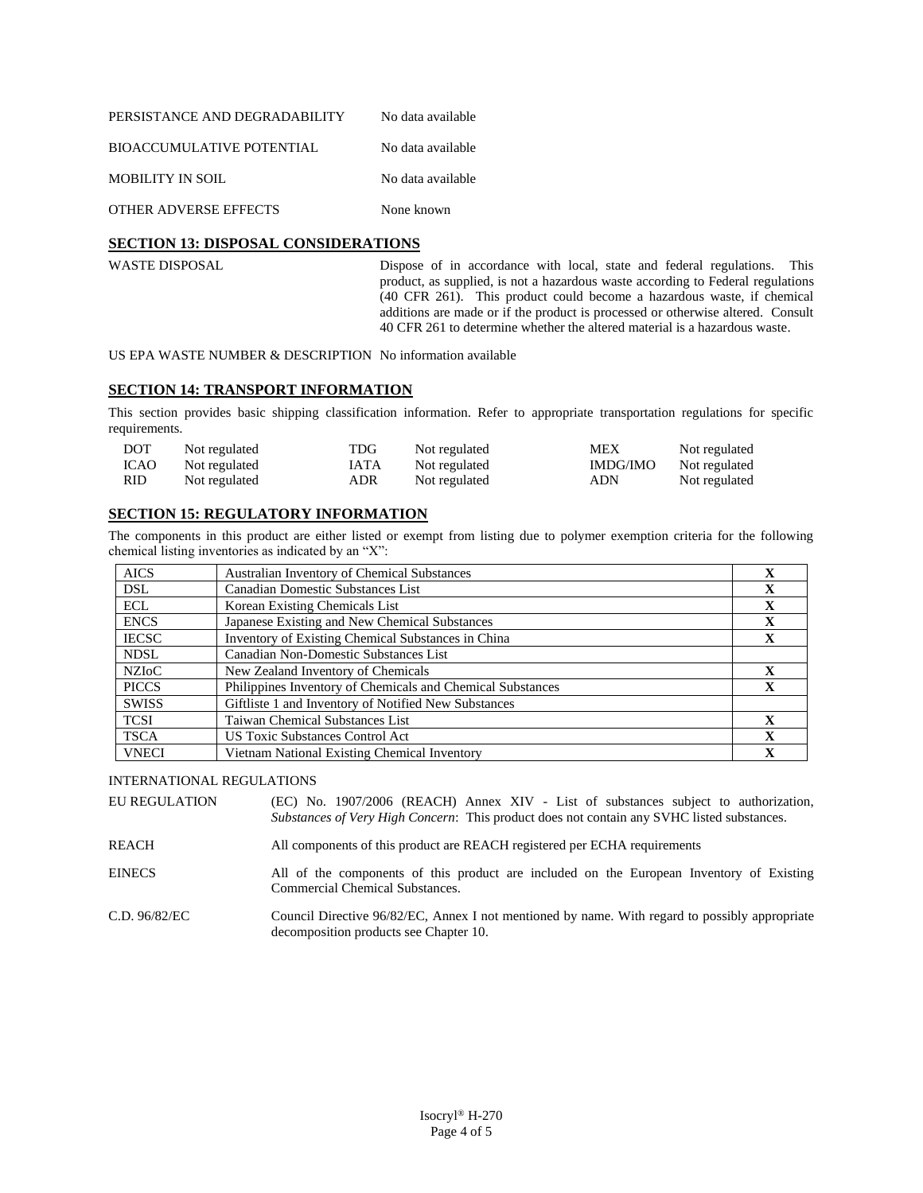| PERSISTANCE AND DEGRADABILITY    | No data available |
|----------------------------------|-------------------|
| <b>BIOACCUMULATIVE POTENTIAL</b> | No data available |
| MOBILITY IN SOIL                 | No data available |
| <b>OTHER ADVERSE EFFECTS</b>     | None known        |

# **SECTION 13: DISPOSAL CONSIDERATIONS**

WASTE DISPOSAL Dispose of in accordance with local, state and federal regulations. This product, as supplied, is not a hazardous waste according to Federal regulations (40 CFR 261). This product could become a hazardous waste, if chemical additions are made or if the product is processed or otherwise altered. Consult 40 CFR 261 to determine whether the altered material is a hazardous waste.

US EPA WASTE NUMBER & DESCRIPTION No information available

### **SECTION 14: TRANSPORT INFORMATION**

This section provides basic shipping classification information. Refer to appropriate transportation regulations for specific requirements.

| <b>DOT</b>  | Not regulated | TDG         | Not regulated | MEX      | Not regulated |
|-------------|---------------|-------------|---------------|----------|---------------|
| <b>ICAO</b> | Not regulated | <b>IATA</b> | Not regulated | IMDG/IMO | Not regulated |
| RID.        | Not regulated | ADR         | Not regulated | ADN      | Not regulated |

### **SECTION 15: REGULATORY INFORMATION**

The components in this product are either listed or exempt from listing due to polymer exemption criteria for the following chemical listing inventories as indicated by an "X":

| <b>AICS</b>  | <b>Australian Inventory of Chemical Substances</b>         | X            |
|--------------|------------------------------------------------------------|--------------|
| <b>DSL</b>   | Canadian Domestic Substances List                          | X            |
| <b>ECL</b>   | Korean Existing Chemicals List                             | X            |
| <b>ENCS</b>  | Japanese Existing and New Chemical Substances              | $\mathbf X$  |
| <b>IECSC</b> | Inventory of Existing Chemical Substances in China         | X            |
| <b>NDSL</b>  | Canadian Non-Domestic Substances List                      |              |
| <b>NZIOC</b> | New Zealand Inventory of Chemicals                         | X            |
| <b>PICCS</b> | Philippines Inventory of Chemicals and Chemical Substances | $\mathbf{X}$ |
| <b>SWISS</b> | Giftliste 1 and Inventory of Notified New Substances       |              |
| <b>TCSI</b>  | <b>Taiwan Chemical Substances List</b>                     | $\mathbf x$  |
| <b>TSCA</b>  | <b>US Toxic Substances Control Act</b>                     | $\mathbf{X}$ |
| <b>VNECI</b> | Vietnam National Existing Chemical Inventory               | $\mathbf X$  |

INTERNATIONAL REGULATIONS

| <b>EU REGULATION</b> |                                                                                            |  |  |  |  | (EC) No. 1907/2006 (REACH) Annex XIV - List of substances subject to authorization, |
|----------------------|--------------------------------------------------------------------------------------------|--|--|--|--|-------------------------------------------------------------------------------------|
|                      | Substances of Very High Concern: This product does not contain any SVHC listed substances. |  |  |  |  |                                                                                     |

REACH All components of this product are REACH registered per ECHA requirements

EINECS All of the components of this product are included on the European Inventory of Existing Commercial Chemical Substances.

C.D. 96/82/EC Council Directive 96/82/EC, Annex I not mentioned by name. With regard to possibly appropriate decomposition products see Chapter 10.